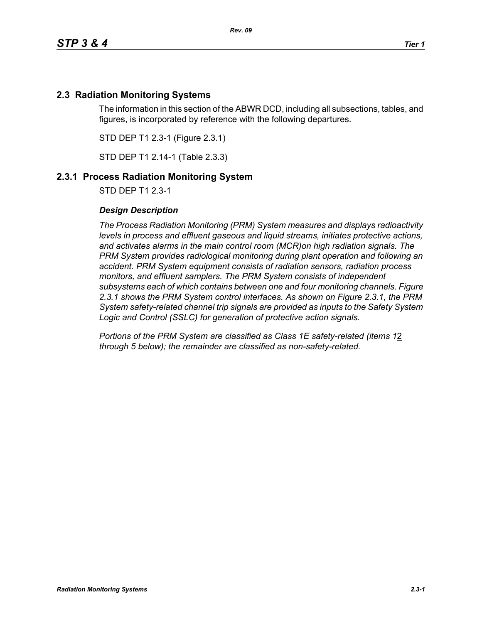# **2.3 Radiation Monitoring Systems**

The information in this section of the ABWR DCD, including all subsections, tables, and figures, is incorporated by reference with the following departures.

STD DEP T1 2.3-1 (Figure 2.3.1)

STD DEP T1 2.14-1 (Table 2.3.3)

## **2.3.1 Process Radiation Monitoring System**

STD DEP T1 2.3-1

### *Design Description*

*The Process Radiation Monitoring (PRM) System measures and displays radioactivity levels in process and effluent gaseous and liquid streams, initiates protective actions, and activates alarms in the main control room (MCR)on high radiation signals. The PRM System provides radiological monitoring during plant operation and following an accident. PRM System equipment consists of radiation sensors, radiation process monitors, and effluent samplers. The PRM System consists of independent subsystems each of which contains between one and four monitoring channels. Figure 2.3.1 shows the PRM System control interfaces. As shown on Figure 2.3.1, the PRM System safety-related channel trip signals are provided as inputs to the Safety System Logic and Control (SSLC) for generation of protective action signals.*

*Portions of the PRM System are classified as Class 1E safety-related (items 1*2 *through 5 below); the remainder are classified as non-safety-related.*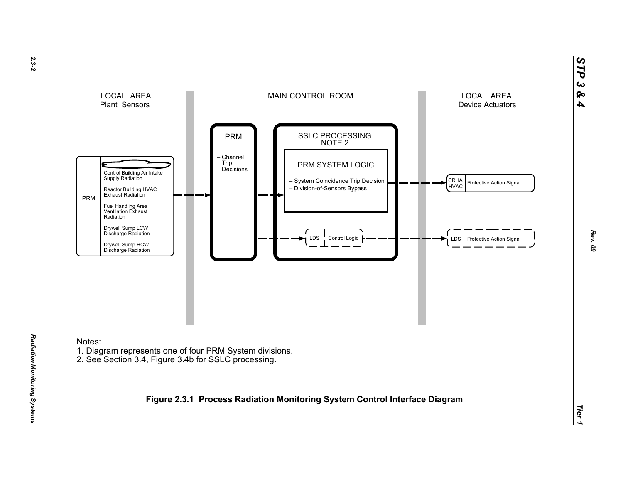

Notes:

*Radiation Monitoring Systems* 

Radiation Monitoring Systems

- 1. Diagram represents one of four PRM System divisions.
- 2. See Section 3.4, Figure 3.4b for SSLC processing.

**Figure 2.3.1 Process Radiation Monitoring System Control Interface Diagram**

*STP 3 & 4*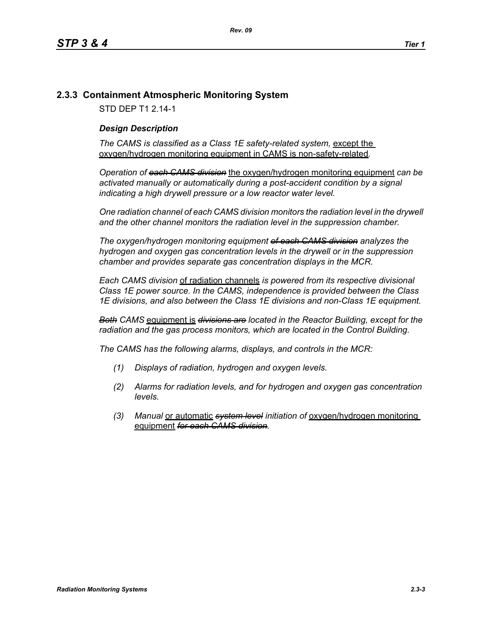# **2.3.3 Containment Atmospheric Monitoring System**

STD DEP T1 2.14-1

## *Design Description*

The CAMS is classified as a Class 1E safety-related system, except the oxygen/hydrogen monitoring equipment in CAMS is non-safety-related*.*

*Operation of each CAMS division* the oxygen/hydrogen monitoring equipment *can be*  activated manually or automatically during a post-accident condition by a signal *indicating a high drywell pressure or a low reactor water level.* 

*One radiation channel of each CAMS division monitors the radiation level in the drywell and the other channel monitors the radiation level in the suppression chamber.*

*The oxygen/hydrogen monitoring equipment of each CAMS division analyzes the hydrogen and oxygen gas concentration levels in the drywell or in the suppression chamber and provides separate gas concentration displays in the MCR.*

*Each CAMS division* of radiation channels *is powered from its respective divisional Class 1E power source. In the CAMS, independence is provided between the Class 1E divisions, and also between the Class 1E divisions and non-Class 1E equipment.*

*Both CAMS* equipment is *divisions are located in the Reactor Building, except for the radiation and the gas process monitors, which are located in the Control Building.*

*The CAMS has the following alarms, displays, and controls in the MCR:*

- *(1) Displays of radiation, hydrogen and oxygen levels.*
- *(2) Alarms for radiation levels, and for hydrogen and oxygen gas concentration levels.*
- *(3) Manual* or automatic *system level initiation of* oxygen/hydrogen monitoring equipment *for each CAMS division.*